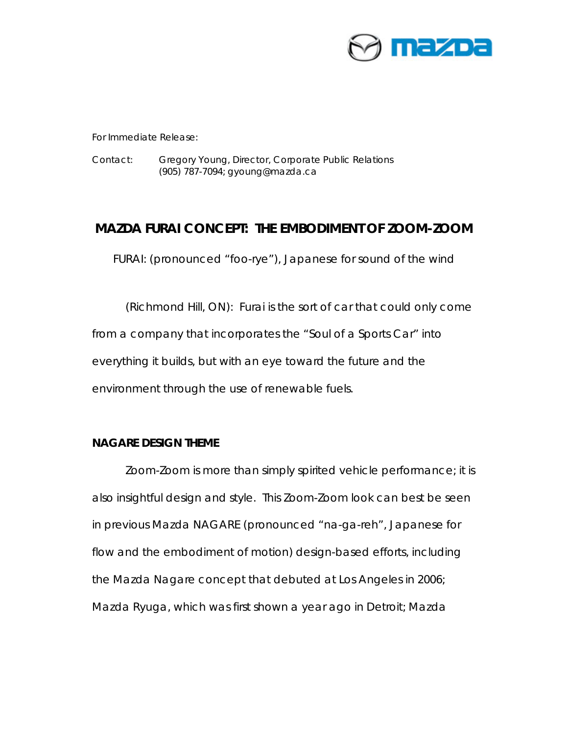

For Immediate Release:

Contact: Gregory Young, Director, Corporate Public Relations (905) 787-7094; gyoung@mazda.ca

# **MAZDA FURAI CONCEPT: THE EMBODIMENT OF ZOOM-ZOOM**

*FURAI: (pronounced "foo-rye"), Japanese for sound of the wind* 

(Richmond Hill, ON): Furai is the sort of car that could only come from a company that incorporates the "Soul of a Sports Car" into everything it builds, but with an eye toward the future and the environment through the use of renewable fuels.

## **NAGARE DESIGN THEME**

Zoom-Zoom is more than simply spirited vehicle performance; it is also insightful design and style. This Zoom-Zoom look can best be seen in previous Mazda NAGARE (pronounced "na-ga-reh", Japanese for flow and the embodiment of motion) design-based efforts, including the Mazda Nagare concept that debuted at Los Angeles in 2006; Mazda Ryuga, which was first shown a year ago in Detroit; Mazda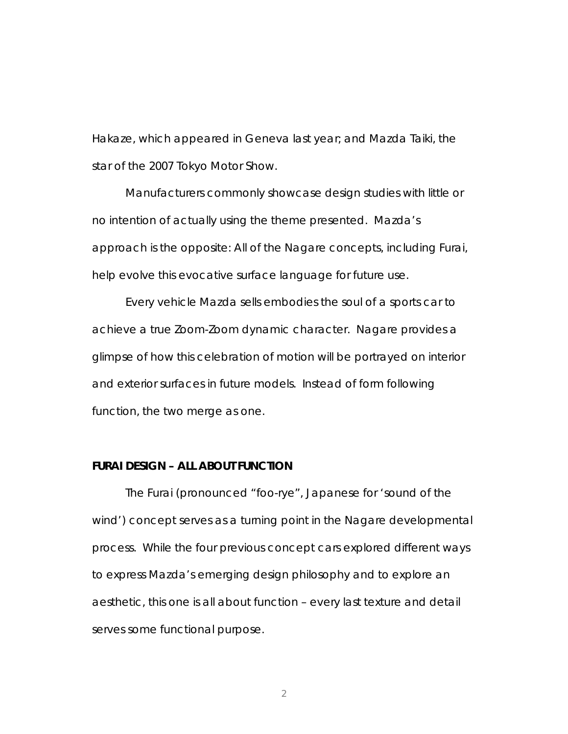Hakaze, which appeared in Geneva last year; and Mazda Taiki, the star of the 2007 Tokyo Motor Show.

Manufacturers commonly showcase design studies with little or no intention of actually using the theme presented. Mazda's approach is the opposite: All of the Nagare concepts, including Furai, help evolve this evocative surface language for future use.

Every vehicle Mazda sells embodies the soul of a sports car to achieve a true Zoom-Zoom dynamic character. Nagare provides a glimpse of how this celebration of motion will be portrayed on interior and exterior surfaces in future models. Instead of form following function, the two merge as one.

### **FURAI DESIGN – ALL ABOUT FUNCTION**

The Furai (pronounced "foo-rye", Japanese for 'sound of the wind') concept serves as a turning point in the Nagare developmental process. While the four previous concept cars explored different ways to express Mazda's emerging design philosophy and to explore an aesthetic, this one is all about function – every last texture and detail serves some functional purpose.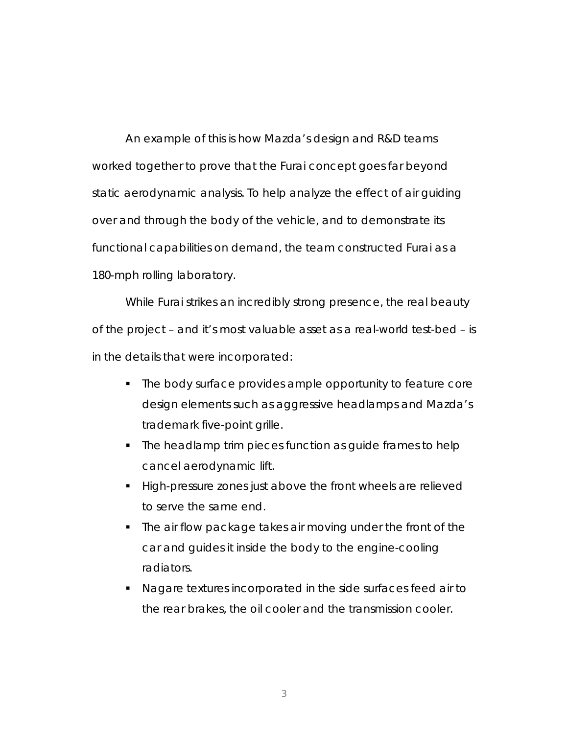An example of this is how Mazda's design and R&D teams worked together to prove that the Furai concept goes far beyond static aerodynamic analysis. To help analyze the effect of air guiding over and through the body of the vehicle, and to demonstrate its functional capabilities on demand, the team constructed Furai as a 180-mph rolling laboratory.

While Furai strikes an incredibly strong presence, the real beauty of the project – and it's most valuable asset as a real-world test-bed – is in the details that were incorporated:

- The body surface provides ample opportunity to feature core design elements such as aggressive headlamps and Mazda's trademark five-point grille.
- The headlamp trim pieces function as quide frames to help cancel aerodynamic lift.
- High-pressure zones just above the front wheels are relieved to serve the same end.
- The air flow package takes air moving under the front of the car and guides it inside the body to the engine-cooling radiators.
- Nagare textures incorporated in the side surfaces feed air to the rear brakes, the oil cooler and the transmission cooler.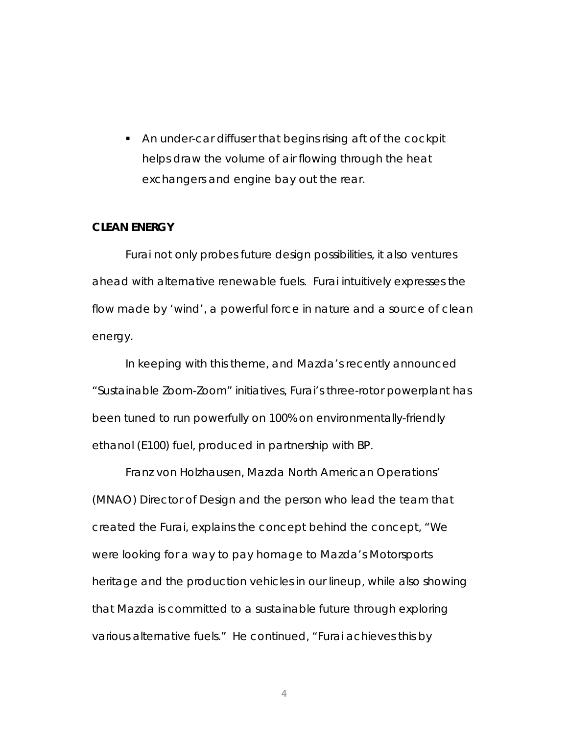An under-car diffuser that begins rising aft of the cockpit helps draw the volume of air flowing through the heat exchangers and engine bay out the rear.

#### **CLEAN ENERGY**

Furai not only probes future design possibilities, it also ventures ahead with alternative renewable fuels. Furai intuitively expresses the flow made by 'wind', a powerful force in nature and a source of clean energy.

In keeping with this theme, and Mazda's recently announced "Sustainable Zoom-Zoom" initiatives, Furai's three-rotor powerplant has been tuned to run powerfully on 100% on environmentally-friendly ethanol (E100) fuel, produced in partnership with BP.

Franz von Holzhausen, Mazda North American Operations' (MNAO) Director of Design and the person who lead the team that created the Furai, explains the concept behind the concept, "We were looking for a way to pay homage to Mazda's Motorsports heritage and the production vehicles in our lineup, while also showing that Mazda is committed to a sustainable future through exploring various alternative fuels." He continued, "Furai achieves this by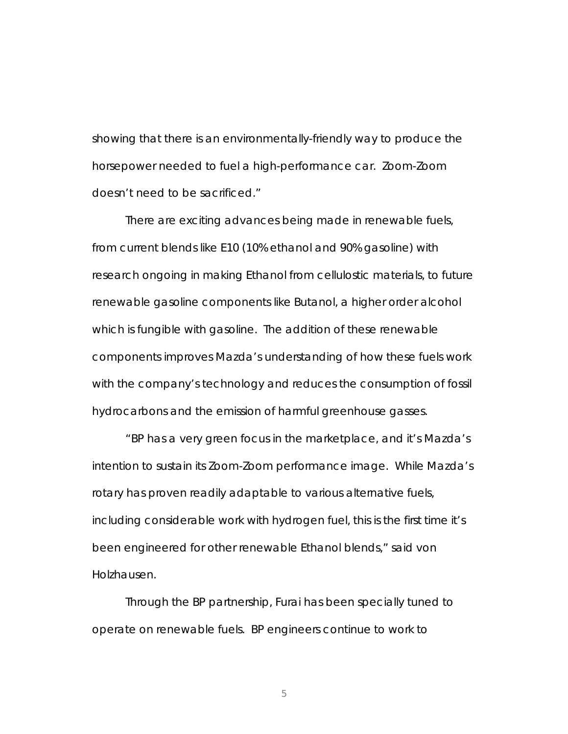showing that there is an environmentally-friendly way to produce the horsepower needed to fuel a high-performance car. Zoom-Zoom doesn't need to be sacrificed."

There are exciting advances being made in renewable fuels, from current blends like E10 (10% ethanol and 90% gasoline) with research ongoing in making Ethanol from cellulostic materials, to future renewable gasoline components like Butanol, a higher order alcohol which is fungible with gasoline. The addition of these renewable components improves Mazda's understanding of how these fuels work with the company's technology and reduces the consumption of fossil hydrocarbons and the emission of harmful greenhouse gasses.

"BP has a very green focus in the marketplace, and it's Mazda's intention to sustain its Zoom-Zoom performance image. While Mazda's rotary has proven readily adaptable to various alternative fuels, including considerable work with hydrogen fuel, this is the first time it's been engineered for other renewable Ethanol blends," said von Holzhausen.

Through the BP partnership, Furai has been specially tuned to operate on renewable fuels. BP engineers continue to work to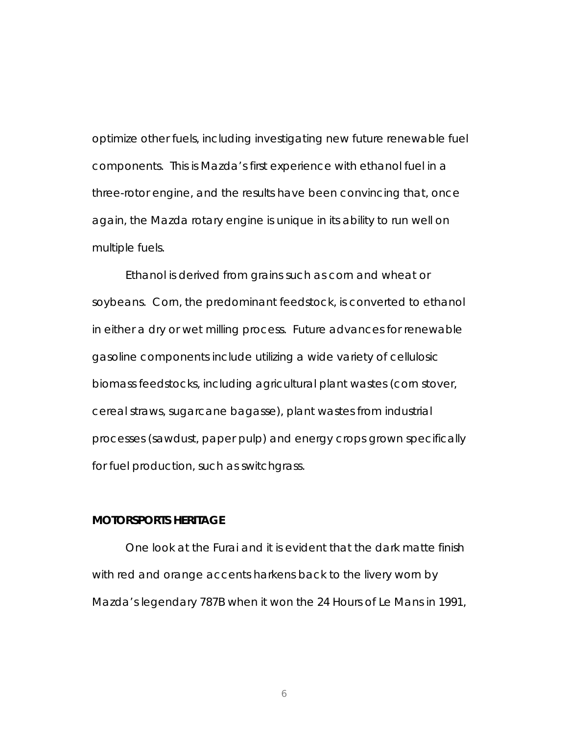optimize other fuels, including investigating new future renewable fuel components. This is Mazda's first experience with ethanol fuel in a three-rotor engine, and the results have been convincing that, once again, the Mazda rotary engine is unique in its ability to run well on multiple fuels.

Ethanol is derived from grains such as corn and wheat or soybeans. Corn, the predominant feedstock, is converted to ethanol in either a dry or wet milling process. Future advances for renewable gasoline components include utilizing a wide variety of cellulosic biomass feedstocks, including agricultural plant wastes (corn stover, cereal straws, sugarcane bagasse), plant wastes from industrial processes (sawdust, paper pulp) and energy crops grown specifically for fuel production, such as switchgrass.

### **MOTORSPORTS HERITAGE**

One look at the Furai and it is evident that the dark matte finish with red and orange accents harkens back to the livery worn by Mazda's legendary 787B when it won the 24 Hours of Le Mans in 1991,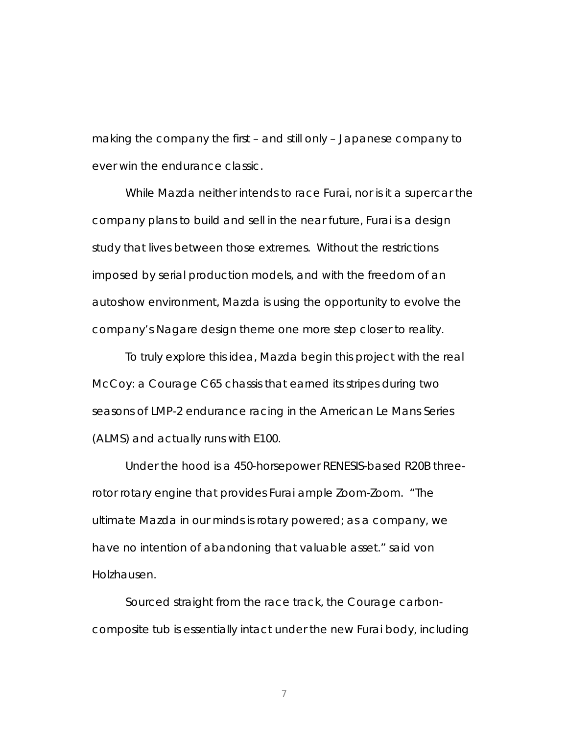making the company the first – and still only – Japanese company to ever win the endurance classic.

While Mazda neither intends to race Furai, nor is it a supercar the company plans to build and sell in the near future, Furai is a design study that lives between those extremes. Without the restrictions imposed by serial production models, and with the freedom of an autoshow environment, Mazda is using the opportunity to evolve the company's Nagare design theme one more step closer to reality.

To truly explore this idea, Mazda begin this project with the real McCoy: a Courage C65 chassis that earned its stripes during two seasons of LMP-2 endurance racing in the American Le Mans Series (ALMS) and actually runs with E100.

Under the hood is a 450-horsepower RENESIS-based R20B threerotor rotary engine that provides Furai ample Zoom-Zoom. "The ultimate Mazda in our minds is rotary powered; as a company, we have no intention of abandoning that valuable asset." said von Holzhausen.

Sourced straight from the race track, the Courage carboncomposite tub is essentially intact under the new Furai body, including